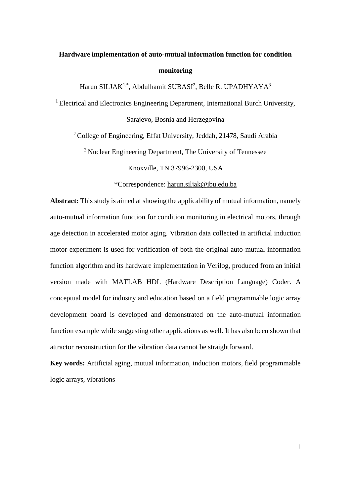# **Hardware implementation of auto-mutual information function for condition monitoring**

Harun SILJAK<sup>1,\*</sup>, Abdulhamit SUBASI<sup>2</sup>, Belle R. UPADHYAYA<sup>3</sup>

<sup>1</sup> Electrical and Electronics Engineering Department, International Burch University, Sarajevo, Bosnia and Herzegovina

<sup>2</sup>College of Engineering, Effat University, Jeddah, 21478, Saudi Arabia

<sup>3</sup> Nuclear Engineering Department, The University of Tennessee

Knoxville, TN 37996-2300, USA

\*Correspondence: [harun.siljak@ibu.edu.ba](mailto:harun.siljak@ibu.edu.ba)

**Abstract:** This study is aimed at showing the applicability of mutual information, namely auto-mutual information function for condition monitoring in electrical motors, through age detection in accelerated motor aging. Vibration data collected in artificial induction motor experiment is used for verification of both the original auto-mutual information function algorithm and its hardware implementation in Verilog, produced from an initial version made with MATLAB HDL (Hardware Description Language) Coder. A conceptual model for industry and education based on a field programmable logic array development board is developed and demonstrated on the auto-mutual information function example while suggesting other applications as well. It has also been shown that attractor reconstruction for the vibration data cannot be straightforward.

**Key words:** Artificial aging, mutual information, induction motors, field programmable logic arrays, vibrations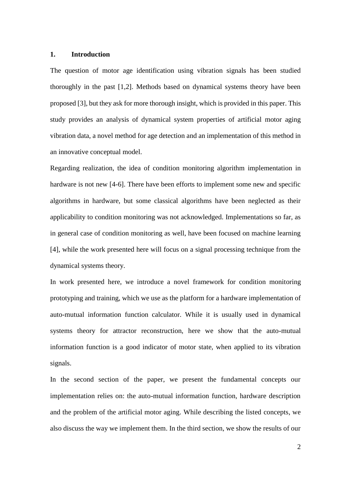## **1. Introduction**

The question of motor age identification using vibration signals has been studied thoroughly in the past [1,2]. Methods based on dynamical systems theory have been proposed [3], but they ask for more thorough insight, which is provided in this paper. This study provides an analysis of dynamical system properties of artificial motor aging vibration data, a novel method for age detection and an implementation of this method in an innovative conceptual model.

Regarding realization, the idea of condition monitoring algorithm implementation in hardware is not new [4-6]. There have been efforts to implement some new and specific algorithms in hardware, but some classical algorithms have been neglected as their applicability to condition monitoring was not acknowledged. Implementations so far, as in general case of condition monitoring as well, have been focused on machine learning [4], while the work presented here will focus on a signal processing technique from the dynamical systems theory.

In work presented here, we introduce a novel framework for condition monitoring prototyping and training, which we use as the platform for a hardware implementation of auto-mutual information function calculator. While it is usually used in dynamical systems theory for attractor reconstruction, here we show that the auto-mutual information function is a good indicator of motor state, when applied to its vibration signals.

In the second section of the paper, we present the fundamental concepts our implementation relies on: the auto-mutual information function, hardware description and the problem of the artificial motor aging. While describing the listed concepts, we also discuss the way we implement them. In the third section, we show the results of our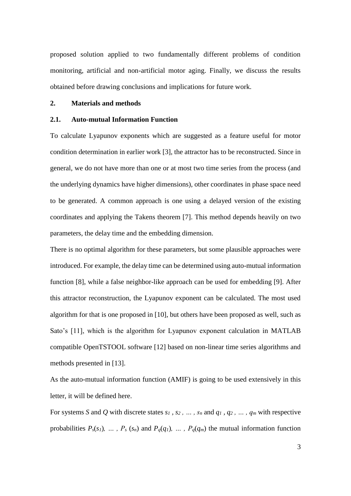proposed solution applied to two fundamentally different problems of condition monitoring, artificial and non-artificial motor aging. Finally, we discuss the results obtained before drawing conclusions and implications for future work.

## **2. Materials and methods**

# **2.1. Auto-mutual Information Function**

To calculate Lyapunov exponents which are suggested as a feature useful for motor condition determination in earlier work [3], the attractor has to be reconstructed. Since in general, we do not have more than one or at most two time series from the process (and the underlying dynamics have higher dimensions), other coordinates in phase space need to be generated. A common approach is one using a delayed version of the existing coordinates and applying the Takens theorem [7]. This method depends heavily on two parameters, the delay time and the embedding dimension.

There is no optimal algorithm for these parameters, but some plausible approaches were introduced. For example, the delay time can be determined using auto-mutual information function [8], while a false neighbor-like approach can be used for embedding [9]. After this attractor reconstruction, the Lyapunov exponent can be calculated. The most used algorithm for that is one proposed in [10], but others have been proposed as well, such as Sato's [11], which is the algorithm for Lyapunov exponent calculation in MATLAB compatible OpenTSTOOL software [12] based on non-linear time series algorithms and methods presented in [13].

As the auto-mutual information function (AMIF) is going to be used extensively in this letter, it will be defined here.

For systems *S* and *Q* with discrete states  $s_1$ ,  $s_2$ ,  $\dots$ ,  $s_n$  and  $q_1$ ,  $q_2$ ,  $\dots$ ,  $q_m$  with respective probabilities  $P_s(s_1)$ , ...,  $P_s(s_n)$  and  $P_q(q_1)$ , ...,  $P_q(q_m)$  the mutual information function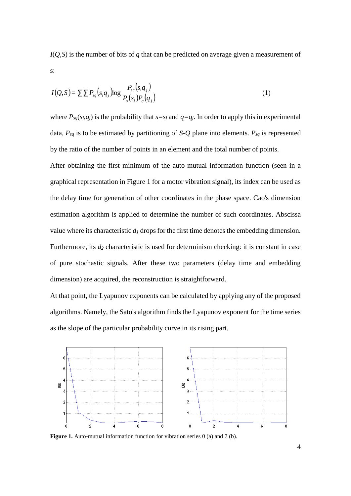*I*(*Q,S*) is the number of bits of *q* that can be predicted on average given a measurement of s:

$$
I(Q, S) = \sum \sum P_{sq}(s_i q_j) \log \frac{P_{sq}(s_i q_j)}{P_s(s_i) P_q(q_j)} \tag{1}
$$

where  $P_{sq}(s_i,q_i)$  is the probability that  $s=s_i$  and  $q=q_i$ . In order to apply this in experimental data, *Psq* is to be estimated by partitioning of *S-Q* plane into elements. *Psq* is represented by the ratio of the number of points in an element and the total number of points.

After obtaining the first minimum of the auto-mutual information function (seen in a graphical representation in Figure 1 for a motor vibration signal), its index can be used as the delay time for generation of other coordinates in the phase space. Cao's dimension estimation algorithm is applied to determine the number of such coordinates. Abscissa value where its characteristic  $d_I$  drops for the first time denotes the embedding dimension. Furthermore, its *d<sup>2</sup>* characteristic is used for determinism checking: it is constant in case of pure stochastic signals. After these two parameters (delay time and embedding dimension) are acquired, the reconstruction is straightforward.

At that point, the Lyapunov exponents can be calculated by applying any of the proposed algorithms. Namely, the Sato's algorithm finds the Lyapunov exponent for the time series as the slope of the particular probability curve in its rising part.



**Figure 1.** Auto-mutual information function for vibration series 0 (a) and 7 (b).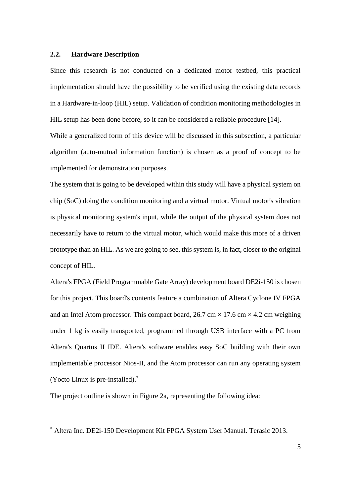## **2.2. Hardware Description**

Since this research is not conducted on a dedicated motor testbed, this practical implementation should have the possibility to be verified using the existing data records in a Hardware-in-loop (HIL) setup. Validation of condition monitoring methodologies in HIL setup has been done before, so it can be considered a reliable procedure [14]. While a generalized form of this device will be discussed in this subsection, a particular algorithm (auto-mutual information function) is chosen as a proof of concept to be

implemented for demonstration purposes.

1

The system that is going to be developed within this study will have a physical system on chip (SoC) doing the condition monitoring and a virtual motor. Virtual motor's vibration is physical monitoring system's input, while the output of the physical system does not necessarily have to return to the virtual motor, which would make this more of a driven prototype than an HIL. As we are going to see, this system is, in fact, closer to the original concept of HIL.

Altera's FPGA (Field Programmable Gate Array) development board DE2i-150 is chosen for this project. This board's contents feature a combination of Altera Cyclone IV FPGA and an Intel Atom processor. This compact board, 26.7 cm  $\times$  17.6 cm  $\times$  4.2 cm weighing under 1 kg is easily transported, programmed through USB interface with a PC from Altera's Quartus II IDE. Altera's software enables easy SoC building with their own implementable processor Nios-II, and the Atom processor can run any operating system (Yocto Linux is pre-installed).\*

The project outline is shown in Figure 2a, representing the following idea:

Altera Inc. DE2i-150 Development Kit FPGA System User Manual. Terasic 2013.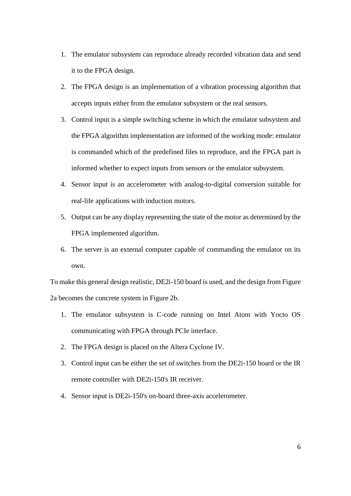- 1. The emulator subsystem can reproduce already recorded vibration data and send it to the FPGA design.
- 2. The FPGA design is an implementation of a vibration processing algorithm that accepts inputs either from the emulator subsystem or the real sensors.
- 3. Control input is a simple switching scheme in which the emulator subsystem and the FPGA algorithm implementation are informed of the working mode: emulator is commanded which of the predefined files to reproduce, and the FPGA part is informed whether to expect inputs from sensors or the emulator subsystem.
- 4. Sensor input is an accelerometer with analog-to-digital conversion suitable for real-life applications with induction motors.
- 5. Output can be any display representing the state of the motor as determined by the FPGA implemented algorithm.
- 6. The server is an external computer capable of commanding the emulator on its own.

To make this general design realistic, DE2i-150 board is used, and the design from Figure 2a becomes the concrete system in Figure 2b.

- 1. The emulator subsystem is C-code running on Intel Atom with Yocto OS communicating with FPGA through PCIe interface.
- 2. The FPGA design is placed on the Altera Cyclone IV.
- 3. Control input can be either the set of switches from the DE2i-150 board or the IR remote controller with DE2i-150's IR receiver.
- 4. Sensor input is DE2i-150's on-board three-axis accelerometer.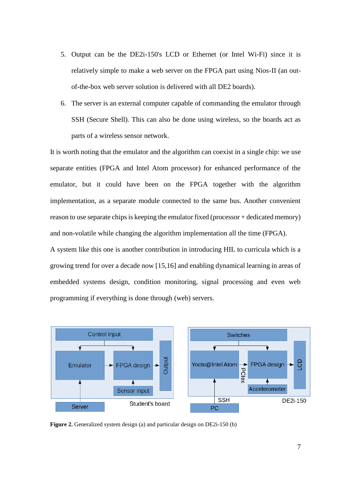- 5. Output can be the DE2i-150's LCD or Ethernet (or Intel Wi-Fi) since it is relatively simple to make a web server on the FPGA part using Nios-II (an outof-the-box web server solution is delivered with all DE2 boards).
- 6. The server is an external computer capable of commanding the emulator through SSH (Secure Shell). This can also be done using wireless, so the boards act as parts of a wireless sensor network.

It is worth noting that the emulator and the algorithm can coexist in a single chip: we use separate entities (FPGA and Intel Atom processor) for enhanced performance of the emulator, but it could have been on the FPGA together with the algorithm implementation, as a separate module connected to the same bus. Another convenient reason to use separate chips is keeping the emulator fixed (processor + dedicated memory) and non-volatile while changing the algorithm implementation all the time (FPGA).

A system like this one is another contribution in introducing HIL to curricula which is a growing trend for over a decade now [15,16] and enabling dynamical learning in areas of embedded systems design, condition monitoring, signal processing and even web programming if everything is done through (web) servers.



**Figure 2.** Generalized system design (a) and particular design on DE2i-150 (b)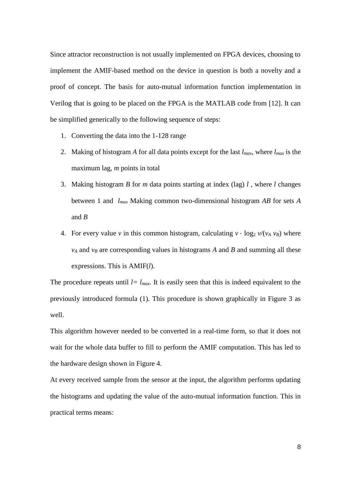Since attractor reconstruction is not usually implemented on FPGA devices, choosing to implement the AMIF-based method on the device in question is both a novelty and a proof of concept. The basis for auto-mutual information function implementation in Verilog that is going to be placed on the FPGA is the MATLAB code from [12]. It can be simplified generically to the following sequence of steps:

- 1. Converting the data into the 1-128 range
- 2. Making of histogram *A* for all data points except for the last *lmax*, where *lmax* is the maximum lag, *m* points in total
- 3. Making histogram *B* for *m* data points starting at index (lag) *l* , where *l* changes between 1 and *lmax* Making common two-dimensional histogram *AB* for sets *A* and *B*
- 4. For every value *v* in this common histogram, calculating  $v \cdot \log_2 v / (v_A v_B)$  where *v<sup>A</sup>* and *v<sup>B</sup>* are corresponding values in histograms *A* and *B* and summing all these expressions. This is AMIF(*l*).

The procedure repeats until  $l = l_{max}$ . It is easily seen that this is indeed equivalent to the previously introduced formula (1). This procedure is shown graphically in Figure 3 as well.

This algorithm however needed to be converted in a real-time form, so that it does not wait for the whole data buffer to fill to perform the AMIF computation. This has led to the hardware design shown in Figure 4.

At every received sample from the sensor at the input, the algorithm performs updating the histograms and updating the value of the auto-mutual information function. This in practical terms means: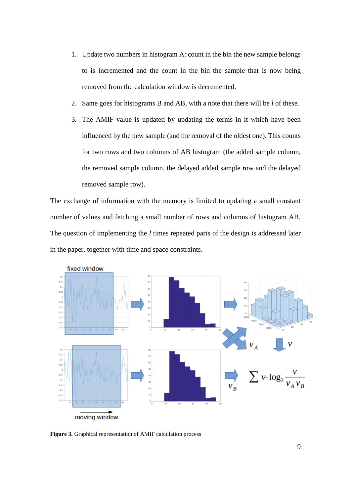- 1. Update two numbers in histogram A: count in the bin the new sample belongs to is incremented and the count in the bin the sample that is now being removed from the calculation window is decremented.
- 2. Same goes for histograms B and AB, with a note that there will be *l* of these.
- 3. The AMIF value is updated by updating the terms in it which have been influenced by the new sample (and the removal of the oldest one). This counts for two rows and two columns of AB histogram (the added sample column, the removed sample column, the delayed added sample row and the delayed removed sample row).

The exchange of information with the memory is limited to updating a small constant number of values and fetching a small number of rows and columns of histogram AB. The question of implementing the *l* times repeated parts of the design is addressed later in the paper, together with time and space constraints.



**Figure 3.** Graphical representation of AMIF calculation process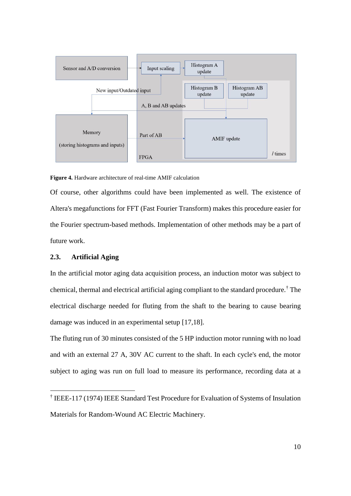

**Figure 4.** Hardware architecture of real-time AMIF calculation

Of course, other algorithms could have been implemented as well. The existence of Altera's megafunctions for FFT (Fast Fourier Transform) makes this procedure easier for the Fourier spectrum-based methods. Implementation of other methods may be a part of future work.

# **2.3. Artificial Aging**

1

In the artificial motor aging data acquisition process, an induction motor was subject to chemical, thermal and electrical artificial aging compliant to the standard procedure.† The electrical discharge needed for fluting from the shaft to the bearing to cause bearing damage was induced in an experimental setup [17,18].

The fluting run of 30 minutes consisted of the 5 HP induction motor running with no load and with an external 27 A, 30V AC current to the shaft. In each cycle's end, the motor subject to aging was run on full load to measure its performance, recording data at a

<sup>†</sup> IEEE-117 (1974) IEEE Standard Test Procedure for Evaluation of Systems of Insulation Materials for Random-Wound AC Electric Machinery.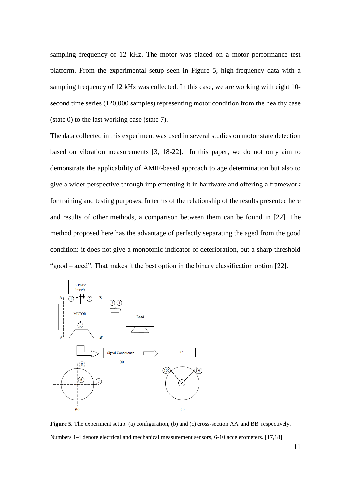sampling frequency of 12 kHz. The motor was placed on a motor performance test platform. From the experimental setup seen in Figure 5, high-frequency data with a sampling frequency of 12 kHz was collected. In this case, we are working with eight 10 second time series (120,000 samples) representing motor condition from the healthy case (state 0) to the last working case (state 7).

The data collected in this experiment was used in several studies on motor state detection based on vibration measurements [3, 18-22]. In this paper, we do not only aim to demonstrate the applicability of AMIF-based approach to age determination but also to give a wider perspective through implementing it in hardware and offering a framework for training and testing purposes. In terms of the relationship of the results presented here and results of other methods, a comparison between them can be found in [22]. The method proposed here has the advantage of perfectly separating the aged from the good condition: it does not give a monotonic indicator of deterioration, but a sharp threshold "good – aged". That makes it the best option in the binary classification option [22].



**Figure 5.** The experiment setup: (a) configuration, (b) and (c) cross-section AA' and BB' respectively. Numbers 1-4 denote electrical and mechanical measurement sensors, 6-10 accelerometers. [17,18]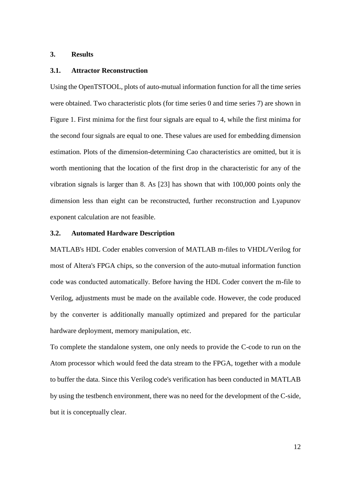# **3. Results**

#### **3.1. Attractor Reconstruction**

Using the OpenTSTOOL, plots of auto-mutual information function for all the time series were obtained. Two characteristic plots (for time series 0 and time series 7) are shown in Figure 1. First minima for the first four signals are equal to 4, while the first minima for the second four signals are equal to one. These values are used for embedding dimension estimation. Plots of the dimension-determining Cao characteristics are omitted, but it is worth mentioning that the location of the first drop in the characteristic for any of the vibration signals is larger than 8. As [23] has shown that with 100,000 points only the dimension less than eight can be reconstructed, further reconstruction and Lyapunov exponent calculation are not feasible.

#### **3.2. Automated Hardware Description**

MATLAB's HDL Coder enables conversion of MATLAB m-files to VHDL/Verilog for most of Altera's FPGA chips, so the conversion of the auto-mutual information function code was conducted automatically. Before having the HDL Coder convert the m-file to Verilog, adjustments must be made on the available code. However, the code produced by the converter is additionally manually optimized and prepared for the particular hardware deployment, memory manipulation, etc.

To complete the standalone system, one only needs to provide the C-code to run on the Atom processor which would feed the data stream to the FPGA, together with a module to buffer the data. Since this Verilog code's verification has been conducted in MATLAB by using the testbench environment, there was no need for the development of the C-side, but it is conceptually clear.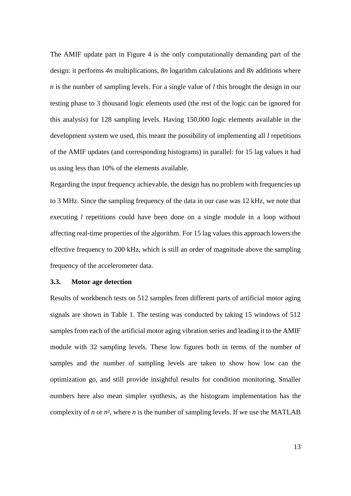The AMIF update part in Figure 4 is the only computationally demanding part of the design: it performs *4n* multiplications, *8n* logarithm calculations and *8n* additions where *n* is the number of sampling levels. For a single value of *l* this brought the design in our testing phase to 3 thousand logic elements used (the rest of the logic can be ignored for this analysis) for 128 sampling levels. Having 150,000 logic elements available in the development system we used, this meant the possibility of implementing all *l* repetitions of the AMIF updates (and corresponding histograms) in parallel: for 15 lag values it had us using less than 10% of the elements available.

Regarding the input frequency achievable, the design has no problem with frequencies up to 3 MHz. Since the sampling frequency of the data in our case was 12 kHz, we note that executing *l* repetitions could have been done on a single module in a loop without affecting real-time properties of the algorithm. For 15 lag values this approach lowers the effective frequency to 200 kHz, which is still an order of magnitude above the sampling frequency of the accelerometer data.

## **3.3. Motor age detection**

Results of workbench tests on 512 samples from different parts of artificial motor aging signals are shown in Table 1. The testing was conducted by taking 15 windows of 512 samples from each of the artificial motor aging vibration series and leading it to the AMIF module with 32 sampling levels. These low figures both in terms of the number of samples and the number of sampling levels are taken to show how low can the optimization go, and still provide insightful results for condition monitoring. Smaller numbers here also mean simpler synthesis, as the histogram implementation has the complexity of *n* or  $n^2$ , where *n* is the number of sampling levels. If we use the MATLAB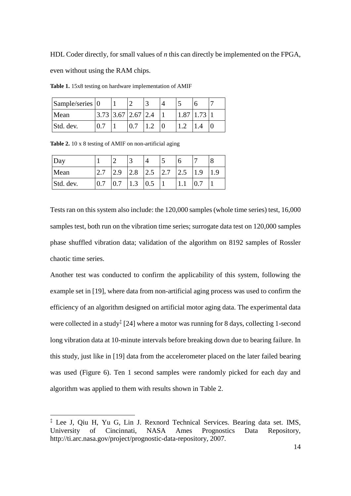HDL Coder directly, for small values of *n* this can directly be implemented on the FPGA,

even without using the RAM chips.

| Sample/series 0 |                      |  |  |                  |  |
|-----------------|----------------------|--|--|------------------|--|
| Mean            | $3.73$ 3.67 2.67 2.4 |  |  | $1.87 \mid 1.73$ |  |
| Std. dev.       |                      |  |  |                  |  |

**Table 1.** 15x8 testing on hardware implementation of AMIF

| Table 2. 10 x 8 testing of AMIF on non-artificial aging |  |
|---------------------------------------------------------|--|
|---------------------------------------------------------|--|

1

| Day       |     |     | 3   |                                           |  |     |  |
|-----------|-----|-----|-----|-------------------------------------------|--|-----|--|
| Mean      | 2.7 | 2.9 |     | $\vert 2.8 \vert 2.5 \vert 2.7 \vert 2.5$ |  | 1.9 |  |
| Std. dev. | 0.7 | 0.7 | 1.3 | $\vert 0.5 \vert$                         |  |     |  |

Tests ran on this system also include: the 120,000 samples (whole time series) test, 16,000 samples test, both run on the vibration time series; surrogate data test on 120,000 samples phase shuffled vibration data; validation of the algorithm on 8192 samples of Rossler chaotic time series.

Another test was conducted to confirm the applicability of this system, following the example set in [19], where data from non-artificial aging process was used to confirm the efficiency of an algorithm designed on artificial motor aging data. The experimental data were collected in a study<sup>‡</sup> [24] where a motor was running for 8 days, collecting 1-second long vibration data at 10-minute intervals before breaking down due to bearing failure. In this study, just like in [19] data from the accelerometer placed on the later failed bearing was used (Figure 6). Ten 1 second samples were randomly picked for each day and algorithm was applied to them with results shown in Table 2.

<sup>‡</sup> Lee J, Qiu H, Yu G, Lin J. Rexnord Technical Services. Bearing data set. IMS, University of Cincinnati, NASA Ames Prognostics Data Repository, http://ti.arc.nasa.gov/project/prognostic-data-repository, 2007.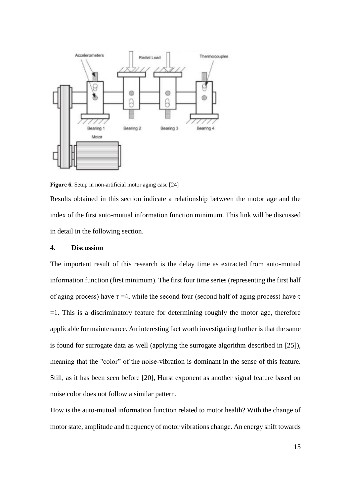

**Figure 6.** Setup in non-artificial motor aging case [24]

Results obtained in this section indicate a relationship between the motor age and the index of the first auto-mutual information function minimum. This link will be discussed in detail in the following section.

## **4. Discussion**

The important result of this research is the delay time as extracted from auto-mutual information function (first minimum). The first four time series (representing the first half of aging process) have  $\tau = 4$ , while the second four (second half of aging process) have  $\tau$  $=1$ . This is a discriminatory feature for determining roughly the motor age, therefore applicable for maintenance. An interesting fact worth investigating further is that the same is found for surrogate data as well (applying the surrogate algorithm described in [25]), meaning that the "color" of the noise-vibration is dominant in the sense of this feature. Still, as it has been seen before [20], Hurst exponent as another signal feature based on noise color does not follow a similar pattern.

How is the auto-mutual information function related to motor health? With the change of motor state, amplitude and frequency of motor vibrations change. An energy shift towards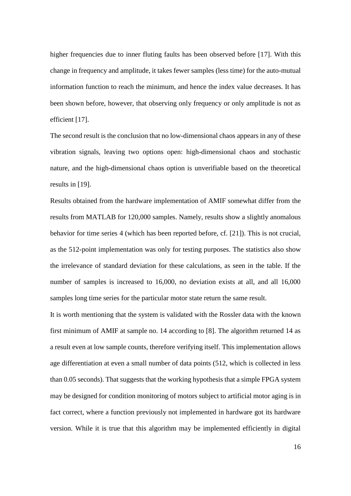higher frequencies due to inner fluting faults has been observed before [17]. With this change in frequency and amplitude, it takes fewer samples (less time) for the auto-mutual information function to reach the minimum, and hence the index value decreases. It has been shown before, however, that observing only frequency or only amplitude is not as efficient [17].

The second result is the conclusion that no low-dimensional chaos appears in any of these vibration signals, leaving two options open: high-dimensional chaos and stochastic nature, and the high-dimensional chaos option is unverifiable based on the theoretical results in [19].

Results obtained from the hardware implementation of AMIF somewhat differ from the results from MATLAB for 120,000 samples. Namely, results show a slightly anomalous behavior for time series 4 (which has been reported before, cf. [21]). This is not crucial, as the 512-point implementation was only for testing purposes. The statistics also show the irrelevance of standard deviation for these calculations, as seen in the table. If the number of samples is increased to 16,000, no deviation exists at all, and all 16,000 samples long time series for the particular motor state return the same result.

It is worth mentioning that the system is validated with the Rossler data with the known first minimum of AMIF at sample no. 14 according to [8]. The algorithm returned 14 as a result even at low sample counts, therefore verifying itself. This implementation allows age differentiation at even a small number of data points (512, which is collected in less than 0.05 seconds). That suggests that the working hypothesis that a simple FPGA system may be designed for condition monitoring of motors subject to artificial motor aging is in fact correct, where a function previously not implemented in hardware got its hardware version. While it is true that this algorithm may be implemented efficiently in digital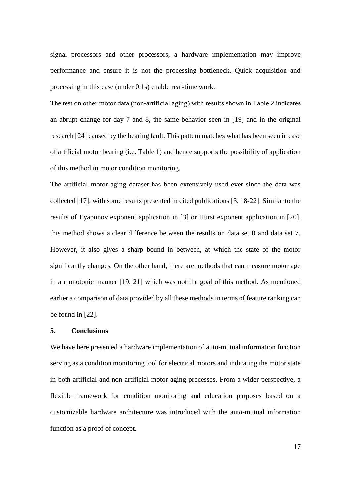signal processors and other processors, a hardware implementation may improve performance and ensure it is not the processing bottleneck. Quick acquisition and processing in this case (under 0.1s) enable real-time work.

The test on other motor data (non-artificial aging) with results shown in Table 2 indicates an abrupt change for day 7 and 8, the same behavior seen in [19] and in the original research [24] caused by the bearing fault. This pattern matches what has been seen in case of artificial motor bearing (i.e. Table 1) and hence supports the possibility of application of this method in motor condition monitoring.

The artificial motor aging dataset has been extensively used ever since the data was collected [17], with some results presented in cited publications [3, 18-22]. Similar to the results of Lyapunov exponent application in [3] or Hurst exponent application in [20], this method shows a clear difference between the results on data set 0 and data set 7. However, it also gives a sharp bound in between, at which the state of the motor significantly changes. On the other hand, there are methods that can measure motor age in a monotonic manner [19, 21] which was not the goal of this method. As mentioned earlier a comparison of data provided by all these methods in terms of feature ranking can be found in [22].

# **5. Conclusions**

We have here presented a hardware implementation of auto-mutual information function serving as a condition monitoring tool for electrical motors and indicating the motor state in both artificial and non-artificial motor aging processes. From a wider perspective, a flexible framework for condition monitoring and education purposes based on a customizable hardware architecture was introduced with the auto-mutual information function as a proof of concept.

17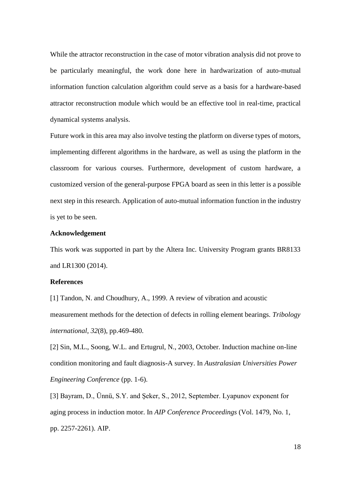While the attractor reconstruction in the case of motor vibration analysis did not prove to be particularly meaningful, the work done here in hardwarization of auto-mutual information function calculation algorithm could serve as a basis for a hardware-based attractor reconstruction module which would be an effective tool in real-time, practical dynamical systems analysis.

Future work in this area may also involve testing the platform on diverse types of motors, implementing different algorithms in the hardware, as well as using the platform in the classroom for various courses. Furthermore, development of custom hardware, a customized version of the general-purpose FPGA board as seen in this letter is a possible next step in this research. Application of auto-mutual information function in the industry is yet to be seen.

#### **Acknowledgement**

This work was supported in part by the Altera Inc. University Program grants BR8133 and LR1300 (2014).

# **References**

[1] Tandon, N. and Choudhury, A., 1999. A review of vibration and acoustic measurement methods for the detection of defects in rolling element bearings. *Tribology international*, *32*(8), pp.469-480.

[2] Sin, M.L., Soong, W.L. and Ertugrul, N., 2003, October. Induction machine on-line condition monitoring and fault diagnosis-A survey. In *Australasian Universities Power Engineering Conference* (pp. 1-6).

[3] Bayram, D., Ünnü, S.Y. and Şeker, S., 2012, September. Lyapunov exponent for aging process in induction motor. In *AIP Conference Proceedings* (Vol. 1479, No. 1, pp. 2257-2261). AIP.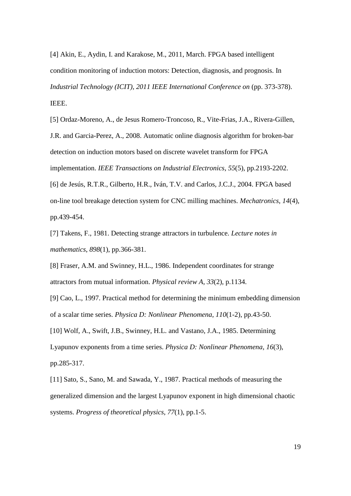[4] Akin, E., Aydin, I. and Karakose, M., 2011, March. FPGA based intelligent condition monitoring of induction motors: Detection, diagnosis, and prognosis. In *Industrial Technology (ICIT), 2011 IEEE International Conference on* (pp. 373-378). IEEE.

[5] Ordaz-Moreno, A., de Jesus Romero-Troncoso, R., Vite-Frias, J.A., Rivera-Gillen, J.R. and Garcia-Perez, A., 2008. Automatic online diagnosis algorithm for broken-bar detection on induction motors based on discrete wavelet transform for FPGA implementation. *IEEE Transactions on Industrial Electronics*, *55*(5), pp.2193-2202. [6] de Jesús, R.T.R., Gilberto, H.R., Iván, T.V. and Carlos, J.C.J., 2004. FPGA based

on-line tool breakage detection system for CNC milling machines. *Mechatronics*, *14*(4), pp.439-454.

[7] Takens, F., 1981. Detecting strange attractors in turbulence. *Lecture notes in mathematics*, *898*(1), pp.366-381.

[8] Fraser, A.M. and Swinney, H.L., 1986. Independent coordinates for strange attractors from mutual information. *Physical review A*, *33*(2), p.1134.

[9] Cao, L., 1997. Practical method for determining the minimum embedding dimension of a scalar time series. *Physica D: Nonlinear Phenomena*, *110*(1-2), pp.43-50.

[10] Wolf, A., Swift, J.B., Swinney, H.L. and Vastano, J.A., 1985. Determining Lyapunov exponents from a time series. *Physica D: Nonlinear Phenomena*, *16*(3), pp.285-317.

[11] Sato, S., Sano, M. and Sawada, Y., 1987. Practical methods of measuring the generalized dimension and the largest Lyapunov exponent in high dimensional chaotic systems. *Progress of theoretical physics*, *77*(1), pp.1-5.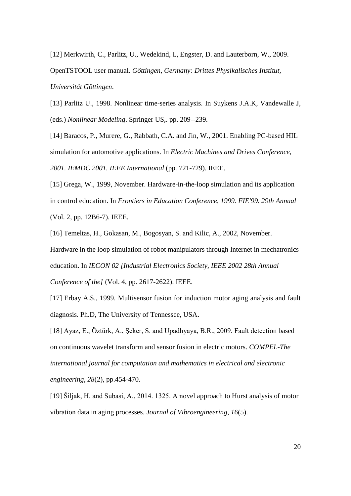[12] Merkwirth, C., Parlitz, U., Wedekind, I., Engster, D. and Lauterborn, W., 2009. OpenTSTOOL user manual. *Göttingen, Germany: Drittes Physikalisches Institut, Universität Göttingen*.

[13] Parlitz U., 1998. Nonlinear time-series analysis. In Suykens J.A.K, Vandewalle J, (eds.) *Nonlinear Modeling*. Springer US,. pp. 209--239.

[14] Baracos, P., Murere, G., Rabbath, C.A. and Jin, W., 2001. Enabling PC-based HIL simulation for automotive applications. In *Electric Machines and Drives Conference, 2001. IEMDC 2001. IEEE International* (pp. 721-729). IEEE.

[15] Grega, W., 1999, November. Hardware-in-the-loop simulation and its application in control education. In *Frontiers in Education Conference, 1999. FIE'99. 29th Annual* (Vol. 2, pp. 12B6-7). IEEE.

[16] Temeltas, H., Gokasan, M., Bogosyan, S. and Kilic, A., 2002, November. Hardware in the loop simulation of robot manipulators through Internet in mechatronics education. In *IECON 02 [Industrial Electronics Society, IEEE 2002 28th Annual Conference of the]* (Vol. 4, pp. 2617-2622). IEEE.

[17] Erbay A.S., 1999. Multisensor fusion for induction motor aging analysis and fault diagnosis. Ph.D, The University of Tennessee, USA.

[18] Ayaz, E., Öztürk, A., Şeker, S. and Upadhyaya, B.R., 2009. Fault detection based on continuous wavelet transform and sensor fusion in electric motors. *COMPEL-The international journal for computation and mathematics in electrical and electronic engineering*, *28*(2), pp.454-470.

[19] Šiljak, H. and Subasi, A., 2014. 1325. A novel approach to Hurst analysis of motor vibration data in aging processes. *Journal of Vibroengineering*, *16*(5).